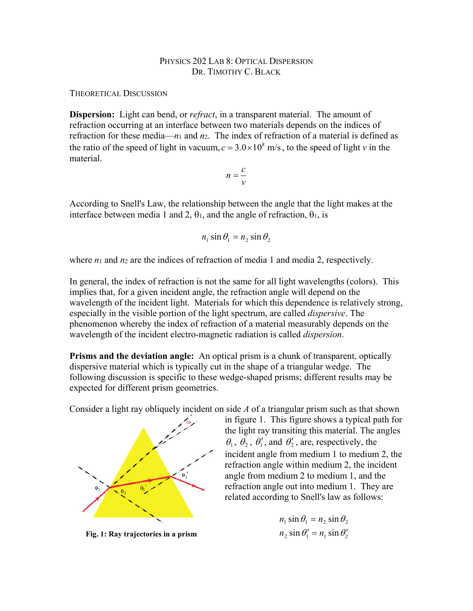## PHYSICS 202 LAB 8: OPTICAL DISPERSION DR. TIMOTHY C. BLACK

THEORETICAL DISCUSSION

**Dispersion:** Light can bend, or *refract*, in a transparent material. The amount of refraction occurring at an interface between two materials depends on the indices of refraction for these media—*n*<sup>1</sup> and *n*2. The index of refraction of a material is defined as the ratio of the speed of light in vacuum,  $c = 3.0 \times 10^8$  m/s, to the speed of light *v* in the material.

$$
n=\frac{c}{v}
$$

According to Snell's Law, the relationship between the angle that the light makes at the interface between media 1 and 2,  $\theta_1$ , and the angle of refraction,  $\theta_1$ , is

$$
n_1 \sin \theta_1 = n_2 \sin \theta_2
$$

where  $n_1$  and  $n_2$  are the indices of refraction of media 1 and media 2, respectively.

In general, the index of refraction is not the same for all light wavelengths (colors). This implies that, for a given incident angle, the refraction angle will depend on the wavelength of the incident light. Materials for which this dependence is relatively strong, especially in the visible portion of the light spectrum, are called *dispersive*. The phenomenon whereby the index of refraction of a material measurably depends on the wavelength of the incident electro-magnetic radiation is called *dispersion*.

**Prisms and the deviation angle:** An optical prism is a chunk of transparent, optically dispersive material which is typically cut in the shape of a triangular wedge. The following discussion is specific to these wedge-shaped prisms; different results may be expected for different prism geometries.

Consider a light ray obliquely incident on side *A* of a triangular prism such as that shown



**Fig. 1: Ray trajectories in a prism**

in figure 1. This figure shows a typical path for the light ray transiting this material. The angles  $\theta_1$ ,  $\theta_2$ ,  $\theta'_1$ , and  $\theta'_2$ , are, respectively, the incident angle from medium 1 to medium 2, the refraction angle within medium 2, the incident angle from medium 2 to medium 1, and the refraction angle out into medium 1. They are related according to Snell's law as follows:

$$
n_1 \sin \theta_1 = n_2 \sin \theta_2
$$
  

$$
n_2 \sin \theta'_1 = n_1 \sin \theta'_2
$$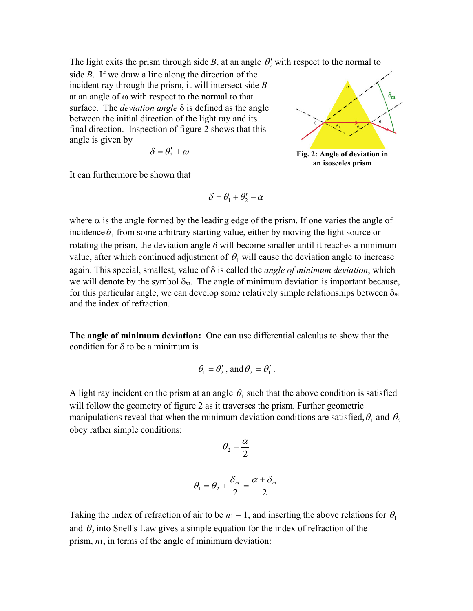The light exits the prism through side  $B$ , at an angle  $\theta_2'$  with respect to the normal to

side *B*. If we draw a line along the direction of the incident ray through the prism, it will intersect side *B* at an angle of ω with respect to the normal to that surface. The *deviation angle* δ is defined as the angle between the initial direction of the light ray and its final direction. Inspection of figure 2 shows that this angle is given by

$$
\delta = \theta'_2 + \omega
$$



**an isosceles prism**

It can furthermore be shown that

$$
\delta = \theta_1 + \theta_2' - \alpha
$$

where  $\alpha$  is the angle formed by the leading edge of the prism. If one varies the angle of incidence  $\theta_1$  from some arbitrary starting value, either by moving the light source or rotating the prism, the deviation angle δ will become smaller until it reaches a minimum value, after which continued adjustment of  $\theta_1$  will cause the deviation angle to increase again. This special, smallest, value of δ is called the *angle of minimum deviation*, which we will denote by the symbol δ*m*. The angle of minimum deviation is important because, for this particular angle, we can develop some relatively simple relationships between δ*<sup>m</sup>* and the index of refraction.

**The angle of minimum deviation:** One can use differential calculus to show that the condition for  $\delta$  to be a minimum is

$$
\theta_1 = \theta_2'
$$
, and  $\theta_2 = \theta_1'$ .

A light ray incident on the prism at an angle  $\theta_1$  such that the above condition is satisfied will follow the geometry of figure 2 as it traverses the prism. Further geometric manipulations reveal that when the minimum deviation conditions are satisfied,  $\theta_1$  and  $\theta_2$ obey rather simple conditions:

$$
\theta_2 = \frac{\alpha}{2}
$$

$$
\theta_1 = \theta_2 + \frac{\delta_m}{2} = \frac{\alpha + \delta_m}{2}
$$

Taking the index of refraction of air to be  $n_1 = 1$ , and inserting the above relations for  $\theta_1$ and  $\theta_2$  into Snell's Law gives a simple equation for the index of refraction of the prism, *n*1, in terms of the angle of minimum deviation: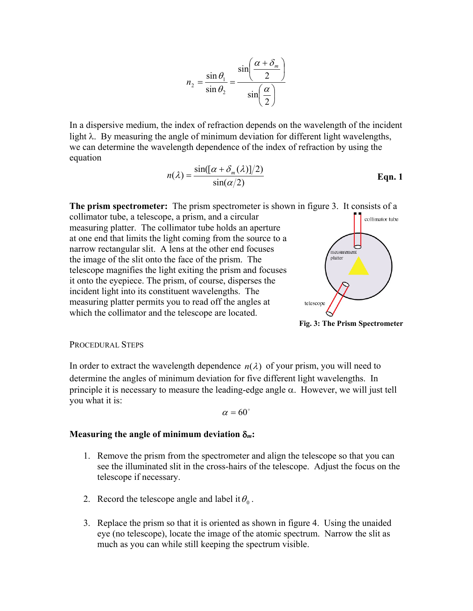$$
n_2 = \frac{\sin \theta_1}{\sin \theta_2} = \frac{\sin \left(\frac{\alpha + \delta_m}{2}\right)}{\sin \left(\frac{\alpha}{2}\right)}
$$

In a dispersive medium, the index of refraction depends on the wavelength of the incident light  $\lambda$ . By measuring the angle of minimum deviation for different light wavelengths, we can determine the wavelength dependence of the index of refraction by using the equation

$$
n(\lambda) = \frac{\sin([\alpha + \delta_m(\lambda)]/2)}{\sin(\alpha/2)}
$$
 Eqn. 1

**The prism spectrometer:** The prism spectrometer is shown in figure 3. It consists of a collimator tube, a telescope, a prism, and a circular measuring platter. The collimator tube holds an aperture at one end that limits the light coming from the source to a narrow rectangular slit. A lens at the other end focuses neasuremen platter the image of the slit onto the face of the prism. The telescope magnifies the light exiting the prism and focuses it onto the eyepiece. The prism, of course, disperses the incident light into its constituent wavelengths. The measuring platter permits you to read off the angles at telescope which the collimator and the telescope are located.



**Fig. 3: The Prism Spectrometer**

## PROCEDURAL STEPS

In order to extract the wavelength dependence  $n(\lambda)$  of your prism, you will need to determine the angles of minimum deviation for five different light wavelengths. In principle it is necessary to measure the leading-edge angle  $\alpha$ . However, we will just tell you what it is:

 $\alpha = 60^{\circ}$ 

## **Measuring the angle of minimum deviation** δ*m***:**

- 1. Remove the prism from the spectrometer and align the telescope so that you can see the illuminated slit in the cross-hairs of the telescope. Adjust the focus on the telescope if necessary.
- 2. Record the telescope angle and label it  $\theta_0$ .
- 3. Replace the prism so that it is oriented as shown in figure 4. Using the unaided eye (no telescope), locate the image of the atomic spectrum. Narrow the slit as much as you can while still keeping the spectrum visible.